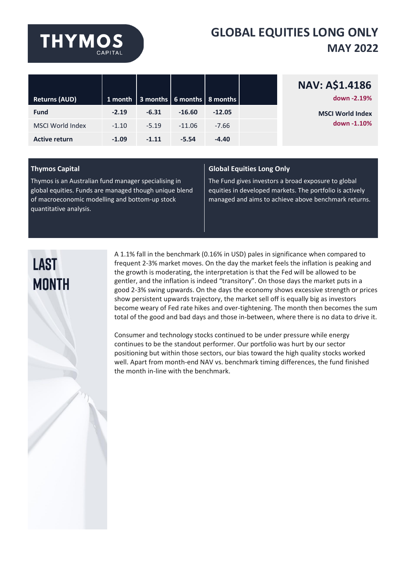# **THYMOS**

### **GLOBAL EQUITIES LONG ONLY MAY 2022**

|                         |         |         |          |                                                 | <b>NAV: A\$1.4186</b>   |
|-------------------------|---------|---------|----------|-------------------------------------------------|-------------------------|
| <b>Returns (AUD)</b>    |         |         |          | 1 month   3 months $\sqrt{6}$ months   8 months | down -2.19%             |
| <b>Fund</b>             | $-2.19$ | $-6.31$ | $-16.60$ | $-12.05$                                        | <b>MSCI World Index</b> |
| <b>MSCI World Index</b> | $-1.10$ | $-5.19$ | $-11.06$ | $-7.66$                                         | down -1.10%             |
| <b>Active return</b>    | $-1.09$ | $-1.11$ | $-5.54$  | $-4.40$                                         |                         |

Thymos is an Australian fund manager specialising in global equities. Funds are managed though unique blend of macroeconomic modelling and bottom-up stock quantitative analysis.

#### **Thymos Capital Global Equities Long Only**

The Fund gives investors a broad exposure to global equities in developed markets. The portfolio is actively managed and aims to achieve above benchmark returns.

### **LAST MONTH**

A 1.1% fall in the benchmark (0.16% in USD) pales in significance when compared to frequent 2-3% market moves. On the day the market feels the inflation is peaking and the growth is moderating, the interpretation is that the Fed will be allowed to be gentler, and the inflation is indeed "transitory". On those days the market puts in a good 2-3% swing upwards. On the days the economy shows excessive strength or prices show persistent upwards trajectory, the market sell off is equally big as investors become weary of Fed rate hikes and over-tightening. The month then becomes the sum total of the good and bad days and those in-between, where there is no data to drive it.

Consumer and technology stocks continued to be under pressure while energy continues to be the standout performer. Our portfolio was hurt by our sector positioning but within those sectors, our bias toward the high quality stocks worked well. Apart from month-end NAV vs. benchmark timing differences, the fund finished the month in-line with the benchmark.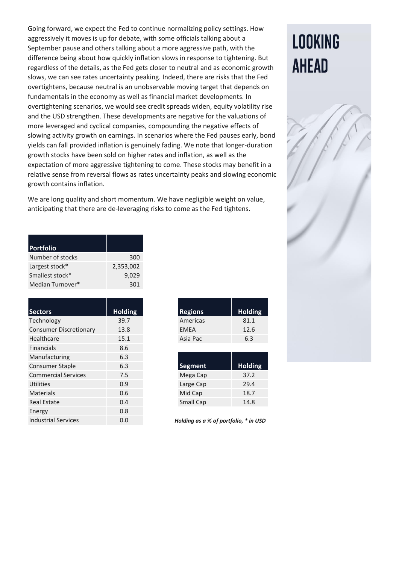Going forward, we expect the Fed to continue normalizing policy settings. How aggressively it moves is up for debate, with some officials talking about a September pause and others talking about a more aggressive path, with the difference being about how quickly inflation slows in response to tightening. But regardless of the details, as the Fed gets closer to neutral and as economic growth slows, we can see rates uncertainty peaking. Indeed, there are risks that the Fed overtightens, because neutral is an unobservable moving target that depends on fundamentals in the economy as well as financial market developments. In overtightening scenarios, we would see credit spreads widen, equity volatility rise and the USD strengthen. These developments are negative for the valuations of more leveraged and cyclical companies, compounding the negative effects of slowing activity growth on earnings. In scenarios where the Fed pauses early, bond yields can fall provided inflation is genuinely fading. We note that longer-duration growth stocks have been sold on higher rates and inflation, as well as the expectation of more aggressive tightening to come. These stocks may benefit in a relative sense from reversal flows as rates uncertainty peaks and slowing economic growth contains inflation.

We are long quality and short momentum. We have negligible weight on value, anticipating that there are de-leveraging risks to come as the Fed tightens.

| <b>Portfolio</b> |           |
|------------------|-----------|
| Number of stocks | 300       |
| Largest stock*   | 2,353,002 |
| Smallest stock*  | 9,029     |
| Median Turnover* | 301       |

| <b>Sectors</b>                | <b>Holding</b> | <b>Regions</b>                       | <b>Holding</b> |
|-------------------------------|----------------|--------------------------------------|----------------|
| Technology                    | 39.7           | Americas                             | 81.1           |
| <b>Consumer Discretionary</b> | 13.8           | <b>EMEA</b>                          | 12.6           |
| Healthcare                    | 15.1           | Asia Pac                             | 6.3            |
| <b>Financials</b>             | 8.6            |                                      |                |
| Manufacturing                 | 6.3            |                                      |                |
| <b>Consumer Staple</b>        | 6.3            | <b>Segment</b>                       | <b>Holding</b> |
| <b>Commercial Services</b>    | 7.5            | Mega Cap                             | 37.2           |
| <b>Utilities</b>              | 0.9            | Large Cap                            | 29.4           |
| <b>Materials</b>              | 0.6            | Mid Cap                              | 18.7           |
| <b>Real Estate</b>            | 0.4            | Small Cap                            | 14.8           |
| Energy                        | 0.8            |                                      |                |
| <b>Industrial Services</b>    | 0.0            | Holding as a % of portfolio, * in US |                |

| <b>Regions</b> | <b>Holding</b> |
|----------------|----------------|
| Americas       | 81.1           |
| <b>FMFA</b>    | 12.6           |
| Asia Pac       | 6.3            |

| <b>Segment</b>   | <b>Holding</b> |
|------------------|----------------|
| Mega Cap         | 37.2           |
| Large Cap        | 29.4           |
| Mid Cap          | 18.7           |
| <b>Small Cap</b> | 14.8           |

Holding as a % of portfolio, \* in USD

## **LOOKING AHEAD**